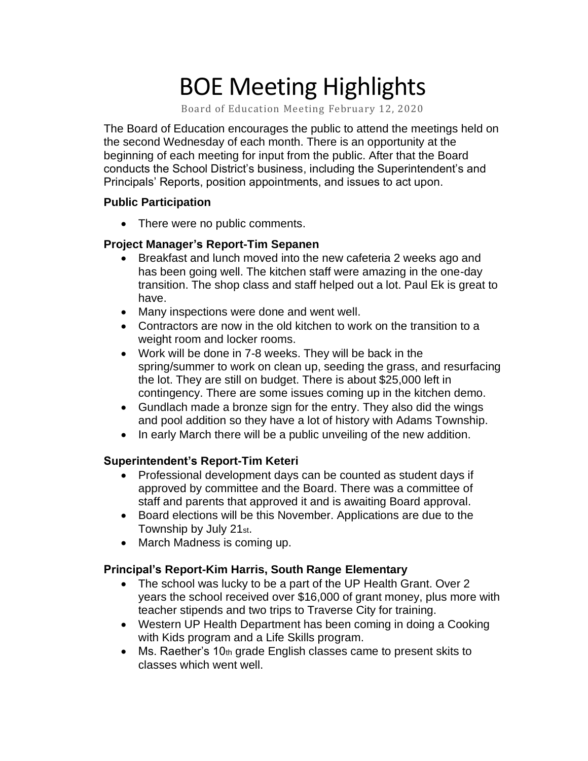# BOE Meeting Highlights

Board of Education Meeting February 12, 2020

 The Board of Education encourages the public to attend the meetings held on the second Wednesday of each month. There is an opportunity at the beginning of each meeting for input from the public. After that the Board conducts the School District's business, including the Superintendent's and Principals' Reports, position appointments, and issues to act upon.

#### **Public Participation**

• There were no public comments.

### **Project Manager's Report-Tim Sepanen**

- • Breakfast and lunch moved into the new cafeteria 2 weeks ago and has been going well. The kitchen staff were amazing in the one-day transition. The shop class and staff helped out a lot. Paul Ek is great to have.
- Many inspections were done and went well.
- • Contractors are now in the old kitchen to work on the transition to a weight room and locker rooms.
- • Work will be done in 7-8 weeks. They will be back in the spring/summer to work on clean up, seeding the grass, and resurfacing the lot. They are still on budget. There is about \$25,000 left in contingency. There are some issues coming up in the kitchen demo.
- • Gundlach made a bronze sign for the entry. They also did the wings and pool addition so they have a lot of history with Adams Township.
- In early March there will be a public unveiling of the new addition.

### **Superintendent's Report-Tim Keteri**

- Professional development days can be counted as student days if approved by committee and the Board. There was a committee of staff and parents that approved it and is awaiting Board approval.
- Board elections will be this November. Applications are due to the Township by July 21st.
- March Madness is coming up.

### **Principal's Report-Kim Harris, South Range Elementary**

- • The school was lucky to be a part of the UP Health Grant. Over 2 years the school received over \$16,000 of grant money, plus more with teacher stipends and two trips to Traverse City for training.
- • Western UP Health Department has been coming in doing a Cooking with Kids program and a Life Skills program.
- Ms. Raether's 10th grade English classes came to present skits to classes which went well.